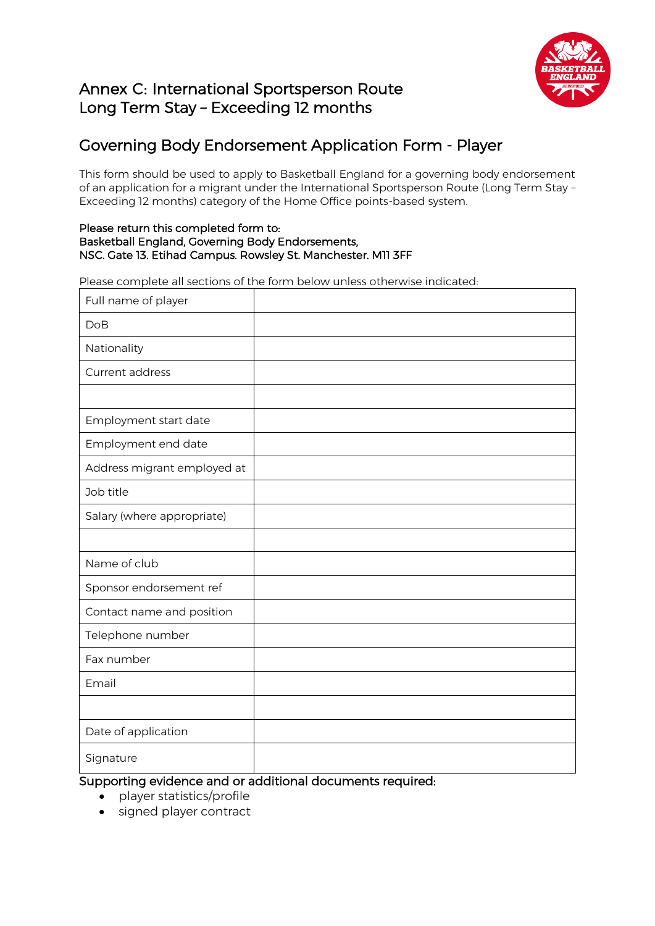# Annex C: International Sportsperson Route Long Term Stay – Exceeding 12 months



# Governing Body Endorsement Application Form - Player

This form should be used to apply to Basketball England for a governing body endorsement of an application for a migrant under the International Sportsperson Route (Long Term Stay – Exceeding 12 months) category of the Home Office points-based system.

### Please return this completed form to: Basketball England, Governing Body Endorsements, NSC. Gate 13. Etihad Campus. Rowsley St. Manchester. M11 3FF

Please complete all sections of the form below unless otherwise indicated:

| Full name of player         |  |
|-----------------------------|--|
| <b>DoB</b>                  |  |
| Nationality                 |  |
| Current address             |  |
|                             |  |
| Employment start date       |  |
| Employment end date         |  |
| Address migrant employed at |  |
| Job title                   |  |
| Salary (where appropriate)  |  |
|                             |  |
| Name of club                |  |
| Sponsor endorsement ref     |  |
| Contact name and position   |  |
| Telephone number            |  |
| Fax number                  |  |
| Email                       |  |
|                             |  |
| Date of application         |  |
| Signature                   |  |

Supporting evidence and or additional documents required:

- player statistics/profile
- signed player contract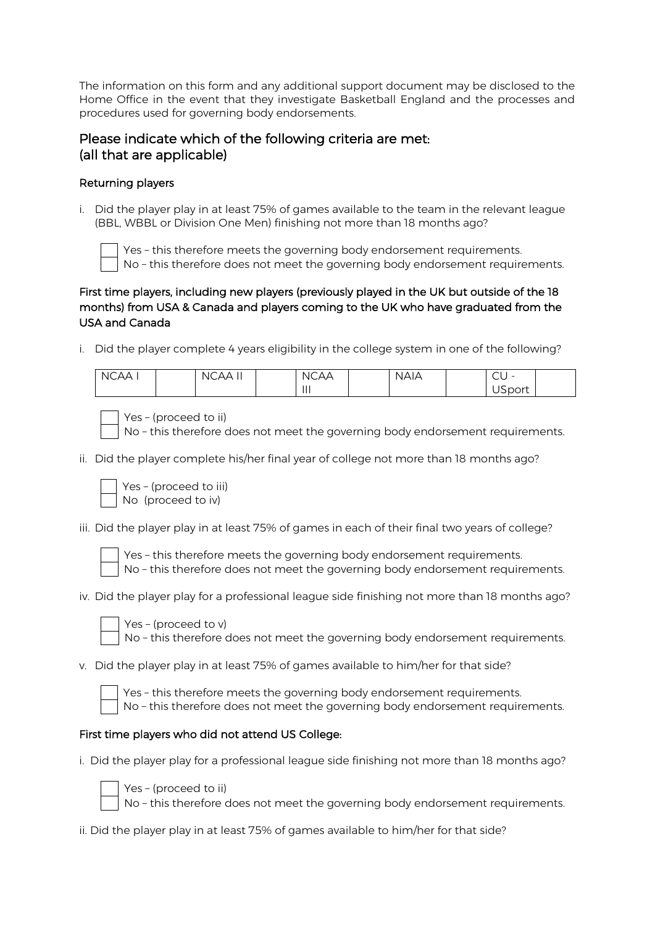The information on this form and any additional support document may be disclosed to the Home Office in the event that they investigate Basketball England and the processes and procedures used for governing body endorsements. Ĩ

## Please indicate which of the following criteria are met: (all that are applicable)

### Returning players

i. Did the player play in at least 75% of games available to the team in the relevant league (BBL, WBBL or Division One Men) finishing not more than 18 months ago?



Yes – this therefore meets the governing body endorsement requirements. No – this therefore does not meet the governing body endorsement requirements.

## First time players, including new players (previously played in the UK but outside of the 18 months) from USA & Canada and players coming to the UK who have graduated from the USA and Canada

i. Did the player complete 4 years eligibility in the college system in one of the following?

| NCAA I | <b>NCAA</b><br>וו ר | <b>NCAA</b> | <b>NAIA</b> | $\sim$<br>$-$<br>$\backsim$ |  |
|--------|---------------------|-------------|-------------|-----------------------------|--|
|        |                     | $\parallel$ |             | <b>USport</b>               |  |



No – this therefore does not meet the governing body endorsement requirements.

ii. Did the player complete his/her final year of college not more than 18 months ago?

| Yes - (proceed to iii) |
|------------------------|
| No (proceed to iv)     |

iii. Did the player play in at least 75% of games in each of their final two years of college?



Yes – this therefore meets the governing body endorsement requirements. No – this therefore does not meet the governing body endorsement requirements.

iv. Did the player play for a professional league side finishing not more than 18 months ago?



Yes – (proceed to v) No – this therefore does not meet the governing body endorsement requirements.

v. Did the player play in at least 75% of games available to him/her for that side?

es - this therefore meets the governing body endorsement requirements. Io - this therefore does not meet the governing body endorsement requirements.

### First time players who did not attend US College:

Yes – (proceed to ii)

i. Did the player play for a professional league side finishing not more than 18 months ago?



No – this therefore does not meet the governing body endorsement requirements.

ii. Did the player play in at least 75% of games available to him/her for that side?